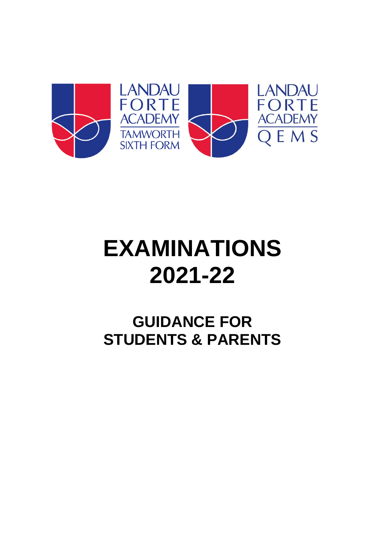

# **EXAMINATIONS 2021-22**

## **GUIDANCE FOR STUDENTS & PARENTS**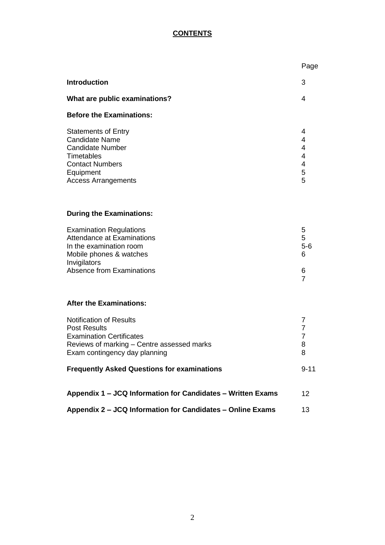#### **CONTENTS**

|                                                                                                                                                                         | Page                               |
|-------------------------------------------------------------------------------------------------------------------------------------------------------------------------|------------------------------------|
| <b>Introduction</b>                                                                                                                                                     | 3                                  |
| What are public examinations?                                                                                                                                           | 4                                  |
| <b>Before the Examinations:</b>                                                                                                                                         |                                    |
| <b>Statements of Entry</b><br><b>Candidate Name</b><br><b>Candidate Number</b><br>Timetables<br><b>Contact Numbers</b><br>Equipment<br><b>Access Arrangements</b>       | 4<br>4<br>4<br>4<br>4<br>5<br>5    |
| <b>During the Examinations:</b>                                                                                                                                         |                                    |
| <b>Examination Regulations</b><br>Attendance at Examinations<br>In the examination room<br>Mobile phones & watches<br>Invigilators                                      | 5<br>5<br>$5-6$<br>6               |
| Absence from Examinations                                                                                                                                               | 6<br>$\overline{7}$                |
| <b>After the Examinations:</b>                                                                                                                                          |                                    |
| <b>Notification of Results</b><br><b>Post Results</b><br><b>Examination Certificates</b><br>Reviews of marking - Centre assessed marks<br>Exam contingency day planning | 7<br>$\overline{7}$<br>7<br>8<br>8 |
| <b>Frequently Asked Questions for examinations</b>                                                                                                                      | $9 - 11$                           |
| Appendix 1 - JCQ Information for Candidates - Written Exams                                                                                                             | 12                                 |
| Appendix 2 – JCQ Information for Candidates – Online Exams                                                                                                              | 13                                 |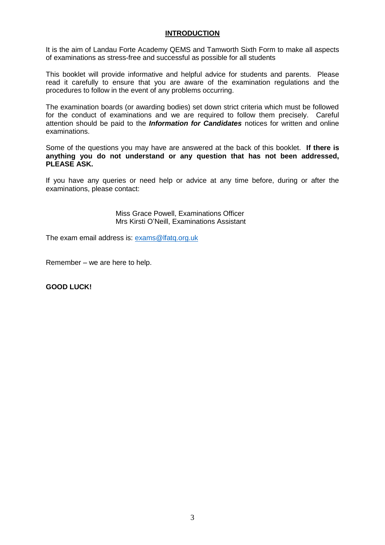#### **INTRODUCTION**

It is the aim of Landau Forte Academy QEMS and Tamworth Sixth Form to make all aspects of examinations as stress-free and successful as possible for all students

This booklet will provide informative and helpful advice for students and parents. Please read it carefully to ensure that you are aware of the examination regulations and the procedures to follow in the event of any problems occurring.

The examination boards (or awarding bodies) set down strict criteria which must be followed for the conduct of examinations and we are required to follow them precisely. Careful attention should be paid to the *Information for Candidates* notices for written and online examinations.

Some of the questions you may have are answered at the back of this booklet. **If there is anything you do not understand or any question that has not been addressed, PLEASE ASK.**

If you have any queries or need help or advice at any time before, during or after the examinations, please contact:

> Miss Grace Powell, Examinations Officer Mrs Kirsti O'Neill, Examinations Assistant

The exam email address is: [exams@lfatq.org.uk](mailto:exams@lfatq.org.uk)

Remember – we are here to help.

**GOOD LUCK!**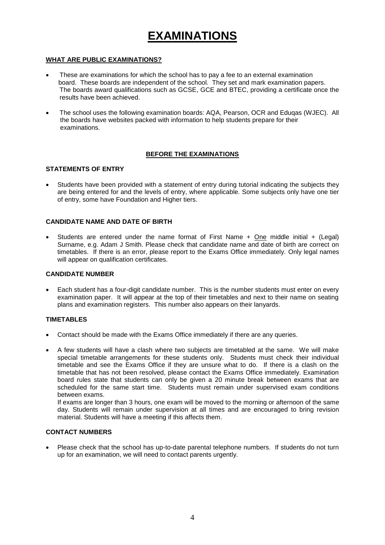## **EXAMINATIONS**

#### **WHAT ARE PUBLIC EXAMINATIONS?**

- These are examinations for which the school has to pay a fee to an external examination board. These boards are independent of the school. They set and mark examination papers. The boards award qualifications such as GCSE, GCE and BTEC, providing a certificate once the results have been achieved.
- The school uses the following examination boards: AQA, Pearson, OCR and Eduqas (WJEC). All the boards have websites packed with information to help students prepare for their examinations.

#### **BEFORE THE EXAMINATIONS**

#### **STATEMENTS OF ENTRY**

 Students have been provided with a statement of entry during tutorial indicating the subjects they are being entered for and the levels of entry, where applicable. Some subjects only have one tier of entry, some have Foundation and Higher tiers.

#### **CANDIDATE NAME AND DATE OF BIRTH**

 Students are entered under the name format of First Name + One middle initial + (Legal) Surname, e.g. Adam J Smith. Please check that candidate name and date of birth are correct on timetables. If there is an error, please report to the Exams Office immediately. Only legal names will appear on qualification certificates.

#### **CANDIDATE NUMBER**

 Each student has a four-digit candidate number. This is the number students must enter on every examination paper. It will appear at the top of their timetables and next to their name on seating plans and examination registers. This number also appears on their lanyards.

#### **TIMETABLES**

- Contact should be made with the Exams Office immediately if there are any queries.
- A few students will have a clash where two subjects are timetabled at the same. We will make special timetable arrangements for these students only. Students must check their individual timetable and see the Exams Office if they are unsure what to do. If there is a clash on the timetable that has not been resolved, please contact the Exams Office immediately. Examination board rules state that students can only be given a 20 minute break between exams that are scheduled for the same start time. Students must remain under supervised exam conditions between exams.

If exams are longer than 3 hours, one exam will be moved to the morning or afternoon of the same day. Students will remain under supervision at all times and are encouraged to bring revision material. Students will have a meeting if this affects them.

#### **CONTACT NUMBERS**

 Please check that the school has up-to-date parental telephone numbers. If students do not turn up for an examination, we will need to contact parents urgently.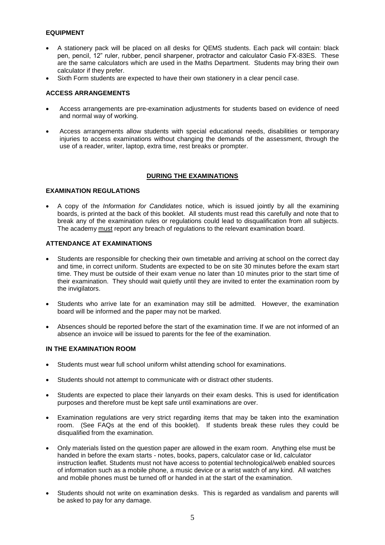#### **EQUIPMENT**

- A stationery pack will be placed on all desks for QEMS students. Each pack will contain: black pen, pencil, 12" ruler, rubber, pencil sharpener, protractor and calculator Casio FX-83ES. These are the same calculators which are used in the Maths Department. Students may bring their own calculator if they prefer.
- Sixth Form students are expected to have their own stationery in a clear pencil case.

#### **ACCESS ARRANGEMENTS**

- Access arrangements are pre-examination adjustments for students based on evidence of need and normal way of working.
- Access arrangements allow students with special educational needs, disabilities or temporary injuries to access examinations without changing the demands of the assessment, through the use of a reader, writer, laptop, extra time, rest breaks or prompter.

#### **DURING THE EXAMINATIONS**

#### **EXAMINATION REGULATIONS**

 A copy of the *Information for Candidates* notice, which is issued jointly by all the examining boards, is printed at the back of this booklet. All students must read this carefully and note that to break any of the examination rules or regulations could lead to disqualification from all subjects. The academy must report any breach of regulations to the relevant examination board.

#### **ATTENDANCE AT EXAMINATIONS**

- Students are responsible for checking their own timetable and arriving at school on the correct day and time, in correct uniform. Students are expected to be on site 30 minutes before the exam start time. They must be outside of their exam venue no later than 10 minutes prior to the start time of their examination. They should wait quietly until they are invited to enter the examination room by the invigilators.
- Students who arrive late for an examination may still be admitted. However, the examination board will be informed and the paper may not be marked.
- Absences should be reported before the start of the examination time. If we are not informed of an absence an invoice will be issued to parents for the fee of the examination.

#### **IN THE EXAMINATION ROOM**

- Students must wear full school uniform whilst attending school for examinations.
- Students should not attempt to communicate with or distract other students.
- Students are expected to place their lanyards on their exam desks. This is used for identification purposes and therefore must be kept safe until examinations are over.
- Examination regulations are very strict regarding items that may be taken into the examination room. (See FAQs at the end of this booklet). If students break these rules they could be disqualified from the examination.
- Only materials listed on the question paper are allowed in the exam room. Anything else must be handed in before the exam starts - notes, books, papers, calculator case or lid, calculator instruction leaflet. Students must not have access to potential technological/web enabled sources of information such as a mobile phone, a music device or a wrist watch of any kind. All watches and mobile phones must be turned off or handed in at the start of the examination.
- Students should not write on examination desks. This is regarded as vandalism and parents will be asked to pay for any damage.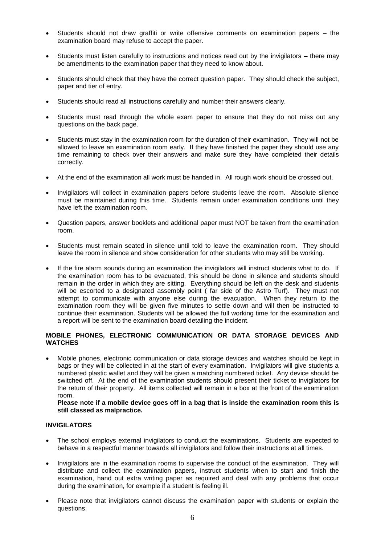- Students should not draw graffiti or write offensive comments on examination papers the examination board may refuse to accept the paper.
- Students must listen carefully to instructions and notices read out by the invigilators there may be amendments to the examination paper that they need to know about.
- Students should check that they have the correct question paper. They should check the subject, paper and tier of entry.
- Students should read all instructions carefully and number their answers clearly.
- Students must read through the whole exam paper to ensure that they do not miss out any questions on the back page.
- Students must stay in the examination room for the duration of their examination. They will not be allowed to leave an examination room early. If they have finished the paper they should use any time remaining to check over their answers and make sure they have completed their details correctly.
- At the end of the examination all work must be handed in. All rough work should be crossed out.
- Invigilators will collect in examination papers before students leave the room. Absolute silence must be maintained during this time. Students remain under examination conditions until they have left the examination room.
- Question papers, answer booklets and additional paper must NOT be taken from the examination room.
- Students must remain seated in silence until told to leave the examination room. They should leave the room in silence and show consideration for other students who may still be working.
- If the fire alarm sounds during an examination the invigilators will instruct students what to do. If the examination room has to be evacuated, this should be done in silence and students should remain in the order in which they are sitting. Everything should be left on the desk and students will be escorted to a designated assembly point ( far side of the Astro Turf). They must not attempt to communicate with anyone else during the evacuation. When they return to the examination room they will be given five minutes to settle down and will then be instructed to continue their examination. Students will be allowed the full working time for the examination and a report will be sent to the examination board detailing the incident.

#### **MOBILE PHONES, ELECTRONIC COMMUNICATION OR DATA STORAGE DEVICES AND WATCHES**

 Mobile phones, electronic communication or data storage devices and watches should be kept in bags or they will be collected in at the start of every examination. Invigilators will give students a numbered plastic wallet and they will be given a matching numbered ticket. Any device should be switched off. At the end of the examination students should present their ticket to invigilators for the return of their property. All items collected will remain in a box at the front of the examination room.

Please note if a mobile device goes off in a bag that is inside the examination room this is **still classed as malpractice.**

#### **INVIGILATORS**

- The school employs external invigilators to conduct the examinations. Students are expected to behave in a respectful manner towards all invigilators and follow their instructions at all times.
- Invigilators are in the examination rooms to supervise the conduct of the examination. They will distribute and collect the examination papers, instruct students when to start and finish the examination, hand out extra writing paper as required and deal with any problems that occur during the examination, for example if a student is feeling ill.
- Please note that invigilators cannot discuss the examination paper with students or explain the questions.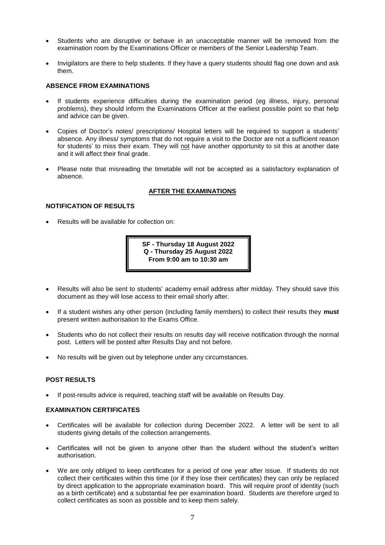- Students who are disruptive or behave in an unacceptable manner will be removed from the examination room by the Examinations Officer or members of the Senior Leadership Team.
- Invigilators are there to help students. If they have a query students should flag one down and ask them.

#### **ABSENCE FROM EXAMINATIONS**

- If students experience difficulties during the examination period (eg illness, injury, personal problems), they should inform the Examinations Officer at the earliest possible point so that help and advice can be given.
- Copies of Doctor's notes/ prescriptions/ Hospital letters will be required to support a students' absence. Any illness/ symptoms that do not require a visit to the Doctor are not a sufficient reason for students' to miss their exam. They will not have another opportunity to sit this at another date and it will affect their final grade.
- Please note that misreading the timetable will not be accepted as a satisfactory explanation of absence.

#### **AFTER THE EXAMINATIONS**

#### **NOTIFICATION OF RESULTS**

Results will be available for collection on:

**SF - Thursday 18 August 2022 Q - Thursday 25 August 2022 From 9:00 am to 10:30 am**

- Results will also be sent to students' academy email address after midday. They should save this document as they will lose access to their email shorly after.
- If a student wishes any other person (including family members) to collect their results they **must** present written authorisation to the Exams Office.
- Students who do not collect their results on results day will receive notification through the normal post. Letters will be posted after Results Day and not before.
- No results will be given out by telephone under any circumstances.

#### **POST RESULTS**

If post-results advice is required, teaching staff will be available on Results Day.

#### **EXAMINATION CERTIFICATES**

- Certificates will be available for collection during December 2022. A letter will be sent to all students giving details of the collection arrangements.
- Certificates will not be given to anyone other than the student without the student's written authorisation.
- We are only obliged to keep certificates for a period of one year after issue. If students do not collect their certificates within this time (or if they lose their certificates) they can only be replaced by direct application to the appropriate examination board. This will require proof of identity (such as a birth certificate) and a substantial fee per examination board. Students are therefore urged to collect certificates as soon as possible and to keep them safely.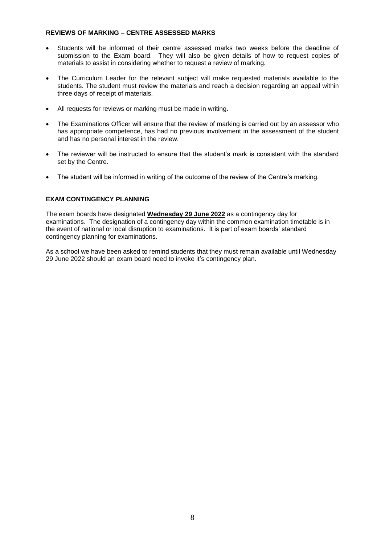#### **REVIEWS OF MARKING – CENTRE ASSESSED MARKS**

- Students will be informed of their centre assessed marks two weeks before the deadline of submission to the Exam board. They will also be given details of how to request copies of materials to assist in considering whether to request a review of marking.
- The Curriculum Leader for the relevant subject will make requested materials available to the students. The student must review the materials and reach a decision regarding an appeal within three days of receipt of materials.
- All requests for reviews or marking must be made in writing.
- The Examinations Officer will ensure that the review of marking is carried out by an assessor who has appropriate competence, has had no previous involvement in the assessment of the student and has no personal interest in the review.
- The reviewer will be instructed to ensure that the student's mark is consistent with the standard set by the Centre.
- The student will be informed in writing of the outcome of the review of the Centre's marking.

#### **EXAM CONTINGENCY PLANNING**

The exam boards have designated **Wednesday 29 June 2022** as a contingency day for examinations. The designation of a contingency day within the common examination timetable is in the event of national or local disruption to examinations. It is part of exam boards' standard contingency planning for examinations.

As a school we have been asked to remind students that they must remain available until Wednesday 29 June 2022 should an exam board need to invoke it's contingency plan.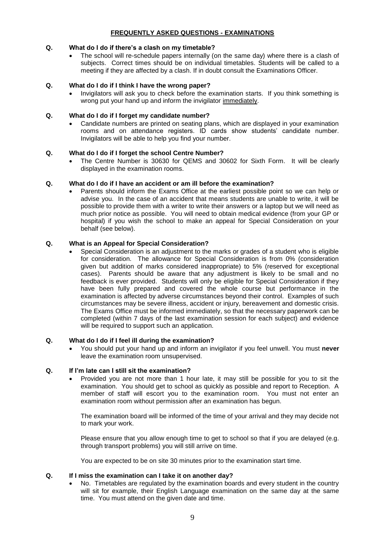#### **FREQUENTLY ASKED QUESTIONS - EXAMINATIONS**

#### **Q. What do I do if there's a clash on my timetable?**

 The school will re-schedule papers internally (on the same day) where there is a clash of subjects. Correct times should be on individual timetables. Students will be called to a meeting if they are affected by a clash. If in doubt consult the Examinations Officer.

#### **Q. What do I do if I think I have the wrong paper?**

 Invigilators will ask you to check before the examination starts. If you think something is wrong put your hand up and inform the invigilator immediately.

#### **Q. What do I do if I forget my candidate number?**

 Candidate numbers are printed on seating plans, which are displayed in your examination rooms and on attendance registers. ID cards show students' candidate number. Invigilators will be able to help you find your number.

#### **Q. What do I do if I forget the school Centre Number?**

 The Centre Number is 30630 for QEMS and 30602 for Sixth Form. It will be clearly displayed in the examination rooms.

#### **Q. What do I do if I have an accident or am ill before the examination?**

 Parents should inform the Exams Office at the earliest possible point so we can help or advise you. In the case of an accident that means students are unable to write, it will be possible to provide them with a writer to write their answers or a laptop but we will need as much prior notice as possible. You will need to obtain medical evidence (from your GP or hospital) if you wish the school to make an appeal for Special Consideration on your behalf (see below).

#### **Q. What is an Appeal for Special Consideration?**

 Special Consideration is an adjustment to the marks or grades of a student who is eligible for consideration. The allowance for Special Consideration is from 0% (consideration given but addition of marks considered inappropriate) to 5% (reserved for exceptional cases). Parents should be aware that any adjustment is likely to be small and no feedback is ever provided. Students will only be eligible for Special Consideration if they have been fully prepared and covered the whole course but performance in the examination is affected by adverse circumstances beyond their control. Examples of such circumstances may be severe illness, accident or injury, bereavement and domestic crisis. The Exams Office must be informed immediately, so that the necessary paperwork can be completed (within 7 days of the last examination session for each subject) and evidence will be required to support such an application.

#### **Q. What do I do if I feel ill during the examination?**

 You should put your hand up and inform an invigilator if you feel unwell. You must **never** leave the examination room unsupervised.

#### **Q. If I'm late can I still sit the examination?**

 Provided you are not more than 1 hour late, it may still be possible for you to sit the examination. You should get to school as quickly as possible and report to Reception. A member of staff will escort you to the examination room. You must not enter an examination room without permission after an examination has begun.

The examination board will be informed of the time of your arrival and they may decide not to mark your work.

Please ensure that you allow enough time to get to school so that if you are delayed (e.g. through transport problems) you will still arrive on time.

You are expected to be on site 30 minutes prior to the examination start time.

#### **Q. If I miss the examination can I take it on another day?**

 No. Timetables are regulated by the examination boards and every student in the country will sit for example, their English Language examination on the same day at the same time. You must attend on the given date and time.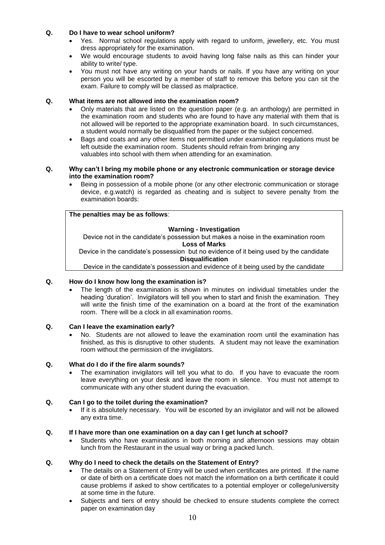#### **Q. Do I have to wear school uniform?**

- Yes. Normal school regulations apply with regard to uniform, jewellery, etc. You must dress appropriately for the examination.
- We would encourage students to avoid having long false nails as this can hinder your ability to write/ type.
- You must not have any writing on your hands or nails. If you have any writing on your person you will be escorted by a member of staff to remove this before you can sit the exam. Failure to comply will be classed as malpractice.

#### **Q. What items are not allowed into the examination room?**

- Only materials that are listed on the question paper (e.g. an anthology) are permitted in the examination room and students who are found to have any material with them that is not allowed will be reported to the appropriate examination board. In such circumstances, a student would normally be disqualified from the paper or the subject concerned.
- Bags and coats and any other items not permitted under examination regulations must be left outside the examination room. Students should refrain from bringing any valuables into school with them when attending for an examination.

#### **Q. Why can't I bring my mobile phone or any electronic communication or storage device into the examination room?**

 Being in possession of a mobile phone (or any other electronic communication or storage device, e.g.watch) is regarded as cheating and is subject to severe penalty from the examination boards:

#### **The penalties may be as follows**:

#### **Warning - Investigation**

Device not in the candidate's possession but makes a noise in the examination room **Loss of Marks**

Device in the candidate's possession but no evidence of it being used by the candidate **Disqualification**

Device in the candidate's possession and evidence of it being used by the candidate

#### **Q. How do I know how long the examination is?**

 The length of the examination is shown in minutes on individual timetables under the heading 'duration'. Invigilators will tell you when to start and finish the examination. They will write the finish time of the examination on a board at the front of the examination room. There will be a clock in all examination rooms.

#### **Q. Can I leave the examination early?**

 No. Students are not allowed to leave the examination room until the examination has finished, as this is disruptive to other students. A student may not leave the examination room without the permission of the invigilators.

#### **Q. What do I do if the fire alarm sounds?**

 The examination invigilators will tell you what to do. If you have to evacuate the room leave everything on your desk and leave the room in silence. You must not attempt to communicate with any other student during the evacuation.

#### **Q. Can I go to the toilet during the examination?**

 If it is absolutely necessary. You will be escorted by an invigilator and will not be allowed any extra time.

#### **Q. If I have more than one examination on a day can I get lunch at school?**

 Students who have examinations in both morning and afternoon sessions may obtain lunch from the Restaurant in the usual way or bring a packed lunch.

#### **Q. Why do I need to check the details on the Statement of Entry?**

- The details on a Statement of Entry will be used when certificates are printed. If the name or date of birth on a certificate does not match the information on a birth certificate it could cause problems if asked to show certificates to a potential employer or college/university at some time in the future.
- Subjects and tiers of entry should be checked to ensure students complete the correct paper on examination day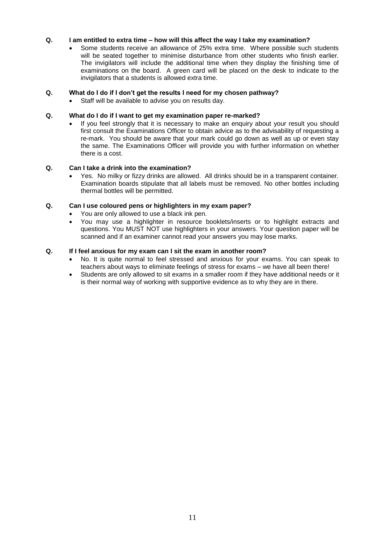#### **Q. I am entitled to extra time – how will this affect the way I take my examination?**

 Some students receive an allowance of 25% extra time. Where possible such students will be seated together to minimise disturbance from other students who finish earlier. The invigilators will include the additional time when they display the finishing time of examinations on the board. A green card will be placed on the desk to indicate to the invigilators that a students is allowed extra time.

#### **Q. What do I do if I don't get the results I need for my chosen pathway?**

Staff will be available to advise you on results day.

#### **Q. What do I do if I want to get my examination paper re-marked?**

 If you feel strongly that it is necessary to make an enquiry about your result you should first consult the Examinations Officer to obtain advice as to the advisability of requesting a re-mark. You should be aware that your mark could go down as well as up or even stay the same. The Examinations Officer will provide you with further information on whether there is a cost.

#### **Q. Can I take a drink into the examination?**

 Yes. No milky or fizzy drinks are allowed. All drinks should be in a transparent container. Examination boards stipulate that all labels must be removed. No other bottles including thermal bottles will be permitted.

#### **Q. Can I use coloured pens or highlighters in my exam paper?**

- You are only allowed to use a black ink pen.
- You may use a highlighter in resource booklets/inserts or to highlight extracts and questions. You MUST NOT use highlighters in your answers. Your question paper will be scanned and if an examiner cannot read your answers you may lose marks.

#### **Q. If I feel anxious for my exam can I sit the exam in another room?**

- No. It is quite normal to feel stressed and anxious for your exams. You can speak to teachers about ways to eliminate feelings of stress for exams – we have all been there!
- Students are only allowed to sit exams in a smaller room if they have additional needs or it is their normal way of working with supportive evidence as to why they are in there.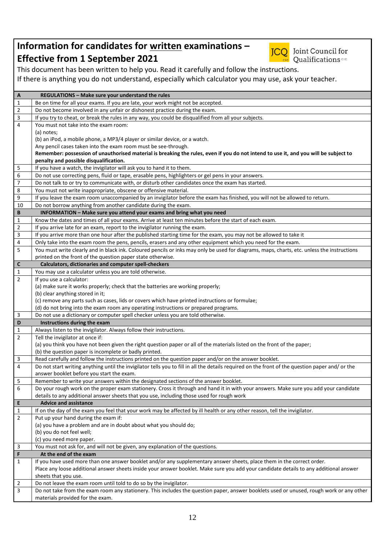### **Information for candidates for written examinations – Effective from 1 September 2021**



**JCO** Joint Council for **Cualifications** 

This document has been written to help you. Read it carefully and follow the instructions. If there is anything you do not understand, especially which calculator you may use, ask your teacher.

| A              | REGULATIONS - Make sure your understand the rules                                                                                                |  |  |
|----------------|--------------------------------------------------------------------------------------------------------------------------------------------------|--|--|
| 1              | Be on time for all your exams. If you are late, your work might not be accepted.                                                                 |  |  |
| $\overline{2}$ | Do not become involved in any unfair or dishonest practice during the exam.                                                                      |  |  |
| $\mathsf{3}$   | If you try to cheat, or break the rules in any way, you could be disqualified from all your subjects.                                            |  |  |
| $\overline{4}$ | You must not take into the exam room:                                                                                                            |  |  |
|                | (a) notes;                                                                                                                                       |  |  |
|                | (b) an iPod, a mobile phone, a MP3/4 player or similar device, or a watch.                                                                       |  |  |
|                | Any pencil cases taken into the exam room must be see-through.                                                                                   |  |  |
|                | Remember: possession of unauthorised material is breaking the rules, even if you do not intend to use it, and you will be subject to             |  |  |
|                | penalty and possible disqualification.                                                                                                           |  |  |
| 5              | If you have a watch, the invigilator will ask you to hand it to them.                                                                            |  |  |
| 6              | Do not use correcting pens, fluid or tape, erasable pens, highlighters or gel pens in your answers.                                              |  |  |
| $\overline{7}$ | Do not talk to or try to communicate with, or disturb other candidates once the exam has started.                                                |  |  |
| 8              | You must not write inappropriate, obscene or offensive material.                                                                                 |  |  |
| 9              | If you leave the exam room unaccompanied by an invigilator before the exam has finished, you will not be allowed to return.                      |  |  |
| 10             | Do not borrow anything from another candidate during the exam.                                                                                   |  |  |
| B              | INFORMATION - Make sure you attend your exams and bring what you need                                                                            |  |  |
| 1              | Know the dates and times of all your exams. Arrive at least ten minutes before the start of each exam.                                           |  |  |
| $\overline{2}$ | If you arrive late for an exam, report to the invigilator running the exam.                                                                      |  |  |
| $\mathsf 3$    | If you arrive more than one hour after the published starting time for the exam, you may not be allowed to take it                               |  |  |
| $\overline{4}$ | Only take into the exam room the pens, pencils, erasers and any other equipment which you need for the exam.                                     |  |  |
| 5              | You must write clearly and in black ink. Coloured pencils or inks may only be used for diagrams, maps, charts, etc. unless the instructions      |  |  |
|                | printed on the front of the question paper state otherwise.                                                                                      |  |  |
| $\mathbf c$    | Calculators, dictionaries and computer spell-checkers                                                                                            |  |  |
| 1              | You may use a calculator unless you are told otherwise.                                                                                          |  |  |
| $\overline{2}$ | If you use a calculator:                                                                                                                         |  |  |
|                | (a) make sure it works properly; check that the batteries are working properly;                                                                  |  |  |
|                | (b) clear anything stored in it;                                                                                                                 |  |  |
|                | (c) remove any parts such as cases, lids or covers which have printed instructions or formulae;                                                  |  |  |
|                | (d) do not bring into the exam room any operating instructions or prepared programs.                                                             |  |  |
| 3              | Do not use a dictionary or computer spell checker unless you are told otherwise.                                                                 |  |  |
| D              | Instructions during the exam                                                                                                                     |  |  |
| 1              | Always listen to the invigilator. Always follow their instructions.                                                                              |  |  |
| $\overline{2}$ | Tell the invigilator at once if:                                                                                                                 |  |  |
|                | (a) you think you have not been given the right question paper or all of the materials listed on the front of the paper;                         |  |  |
|                | (b) the question paper is incomplete or badly printed.                                                                                           |  |  |
| 3              | Read carefully and follow the instructions printed on the question paper and/or on the answer booklet.                                           |  |  |
| $\overline{4}$ | Do not start writing anything until the invigilator tells you to fill in all the details required on the front of the question paper and/ or the |  |  |
|                | answer booklet before you start the exam.                                                                                                        |  |  |
| 5              | Remember to write your answers within the designated sections of the answer booklet.                                                             |  |  |
| 6              | Do your rough work on the proper exam stationery. Cross it through and hand it in with your answers. Make sure you add your candidate            |  |  |
|                | details to any additional answer sheets that you use, including those used for rough work                                                        |  |  |
| E              | <b>Advice and assistance</b>                                                                                                                     |  |  |
| 1              | If on the day of the exam you feel that your work may be affected by ill health or any other reason, tell the invigilator.                       |  |  |
| $\overline{2}$ | Put up your hand during the exam if:                                                                                                             |  |  |
|                | (a) you have a problem and are in doubt about what you should do;                                                                                |  |  |
|                | (b) you do not feel well;                                                                                                                        |  |  |
|                | (c) you need more paper.                                                                                                                         |  |  |
| 3              | You must not ask for, and will not be given, any explanation of the questions.                                                                   |  |  |
| F              | At the end of the exam                                                                                                                           |  |  |
| $\mathbf{1}$   | If you have used more than one answer booklet and/or any supplementary answer sheets, place them in the correct order.                           |  |  |
|                | Place any loose additional answer sheets inside your answer booklet. Make sure you add your candidate details to any additional answer           |  |  |
|                | sheets that you use.                                                                                                                             |  |  |
| 2              | Do not leave the exam room until told to do so by the invigilator.                                                                               |  |  |
| 3              | Do not take from the exam room any stationery. This includes the question paper, answer booklets used or unused, rough work or any other         |  |  |
|                | materials provided for the exam.                                                                                                                 |  |  |
|                |                                                                                                                                                  |  |  |